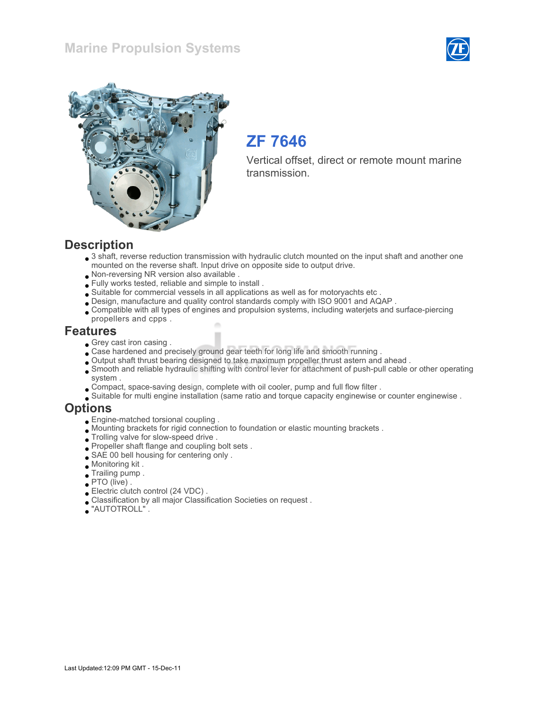#### Marine Propulsion Systems





## ZF 7646

Vertical offset, direct or remote mount marine transmission.

#### **Description**

- 3 shaft, reverse reduction transmission with hydraulic clutch mounted on the input shaft and another one mounted on the reverse shaft. Input drive on opposite side to output drive.
- Non-reversing NR version also available .
- Fully works tested, reliable and simple to install .
- Suitable for commercial vessels in all applications as well as for motoryachts etc .
- Design, manufacture and quality control standards comply with ISO 9001 and AQAP .
- Compatible with all types of engines and propulsion systems, including waterjets and surface-piercing propellers and cpps .

#### Features

- Grey cast iron casing.
- Case hardened and precisely ground gear teeth for long life and smooth running .
- Output shaft thrust bearing designed to take maximum propeller thrust astern and ahead .
- Smooth and reliable hydraulic shifting with control lever for attachment of push-pull cable or other operating system .
- Compact, space-saving design, complete with oil cooler, pump and full flow filter .
- Suitable for multi engine installation (same ratio and torque capacity enginewise or counter enginewise .

### **Options**

- Engine-matched torsional coupling .
- Mounting brackets for rigid connection to foundation or elastic mounting brackets .
- $\bullet$  Trolling valve for slow-speed drive .
- Propeller shaft flange and coupling bolt sets .
- SAE 00 bell housing for centering only .
- Monitoring kit .
- Trailing pump .
- PTO (live) .
- Electric clutch control (24 VDC) .
- Classification by all major Classification Societies on request .
- "AUTOTROLL" .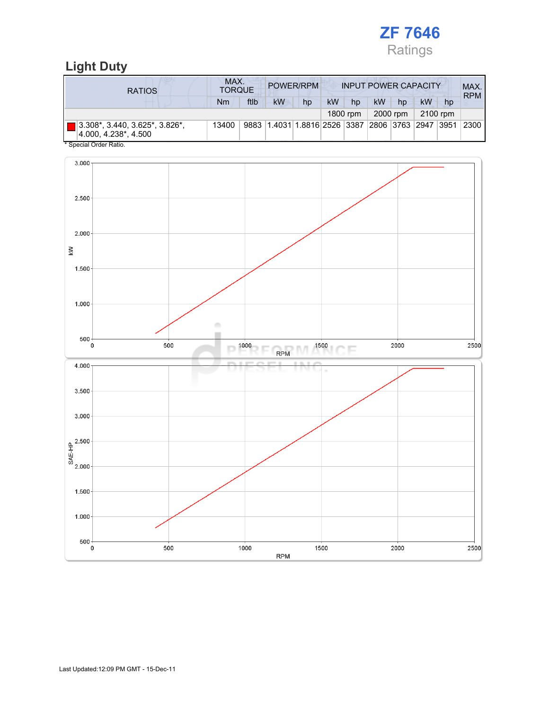

### Light Duty

| <b>RATIOS</b>                                          | MAX.<br><b>TORQUE</b> |      |                                                  | POWER/RPM |           |          | <b>INPUT POWER CAPACITY</b> |          |          |    | MAX.<br><b>RPM</b> |
|--------------------------------------------------------|-----------------------|------|--------------------------------------------------|-----------|-----------|----------|-----------------------------|----------|----------|----|--------------------|
|                                                        | Nm                    | ftlb | kW                                               | hp        | <b>kW</b> | hp       | kW                          | hp       | kW       | hp |                    |
|                                                        |                       |      |                                                  |           |           | 1800 rpm |                             | 2000 rpm | 2100 rpm |    |                    |
| 3.308*, 3.440, 3.625*, 3.826*,<br>4.000. 4.238*. 4.500 | 13400                 |      | 9883 1.4031 1.8816 2526 3387 2806 3763 2947 3951 |           |           |          |                             |          |          |    | 2300               |
| * Special Order Ratio.                                 |                       |      |                                                  |           |           |          |                             |          |          |    |                    |

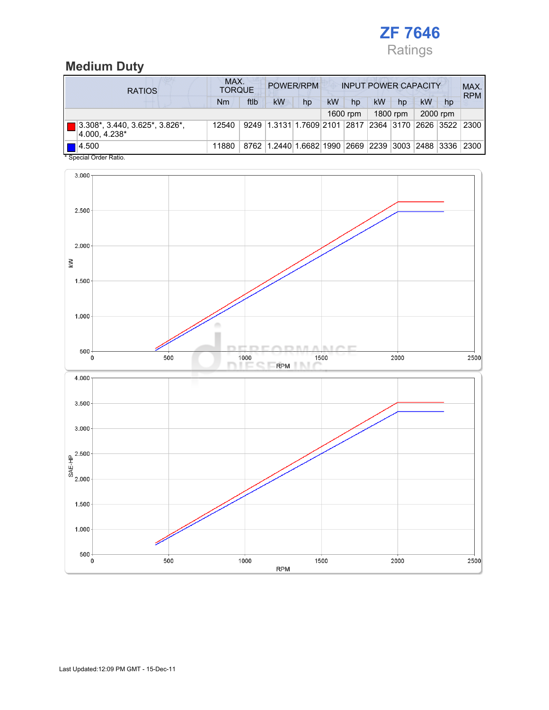

### Medium Duty

| <b>RATIOS</b>                                                    | MAX.<br>POWER/RPM<br><b>INPUT POWER CAPACITY</b><br><b>TORQUE</b> |      |                                                  |    |    |            |    |          |    |          | MAX.<br><b>RPM</b>                      |
|------------------------------------------------------------------|-------------------------------------------------------------------|------|--------------------------------------------------|----|----|------------|----|----------|----|----------|-----------------------------------------|
|                                                                  | Nm                                                                | ftlb | kW                                               | hp | kW | hp         | kW | hp       | kW | hp       |                                         |
|                                                                  |                                                                   |      |                                                  |    |    | $1600$ rpm |    | 1800 rpm |    | 2000 rpm |                                         |
| 3.308*, 3.440, 3.625*, 3.826*,<br>4.000.4.238*                   | 12540                                                             |      | 9249 1.3131 1.7609 2101                          |    |    |            |    |          |    |          | 2817   2364   3170   2626   3522   2300 |
| 14.500<br>$\bullet$ 0. $\bullet$ 1. 0. $\bullet$ 1. $\bullet$ 1. | 11880                                                             |      | 8762 1.2440 1.6682 1990 2669 2239 3003 2488 3336 |    |    |            |    |          |    |          | 2300                                    |

Special Order Ratio.

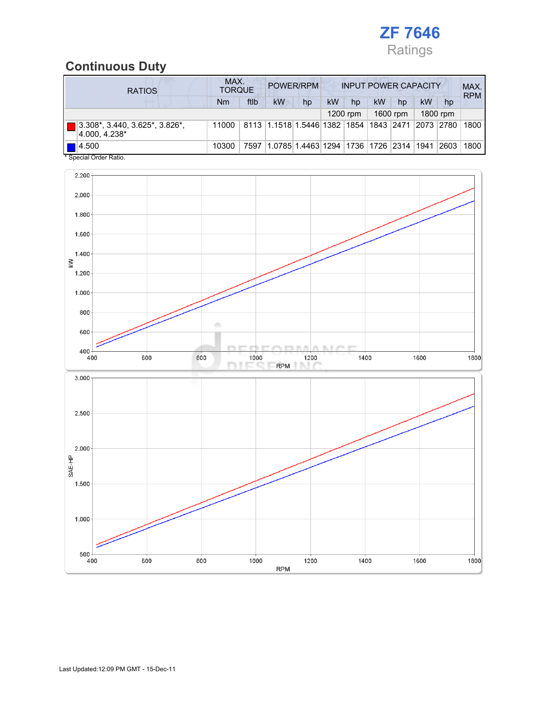

### Continuous Duty

| <b>RATIOS</b>                                                                | MAX.<br>POWER/RPM<br><b>INPUT POWER CAPACITY</b><br><b>TORQUE</b> |      |                                                                  |                                        |    |          |    |          |    |          | MAX.<br><b>RPM</b> |
|------------------------------------------------------------------------------|-------------------------------------------------------------------|------|------------------------------------------------------------------|----------------------------------------|----|----------|----|----------|----|----------|--------------------|
|                                                                              | Nm                                                                | ftlb | kW                                                               | hp                                     | kW | hp       | kW | hp       | kW | hp       |                    |
|                                                                              |                                                                   |      |                                                                  |                                        |    | 1200 rpm |    | 1600 rpm |    | 1800 rpm |                    |
| $3.308^*$ , 3.440, 3.625 <sup>*</sup> , 3.826 <sup>*</sup> ,<br>4.000.4.238* | 11000                                                             |      | 8113   1.1518   1.5446   1382   1854   1843   2471   2073   2780 |                                        |    |          |    |          |    |          | 1800               |
| $\P$ 14.500<br>* Conniel Order Petin                                         | 10300                                                             | 7597 |                                                                  | 1.0785 1.4463 1294 1736 1726 2314 1941 |    |          |    |          |    | 2603     | 1800               |

Special Order Ra

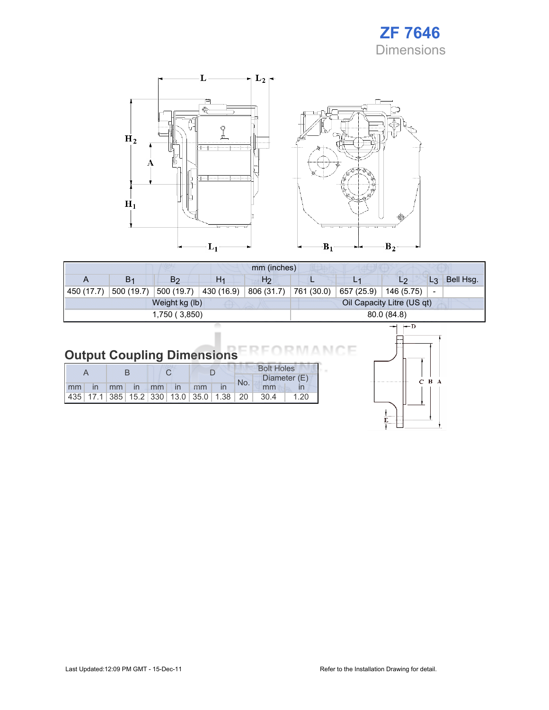



| mm (inches) |                |                |                |                |                            |            |                |                              |           |
|-------------|----------------|----------------|----------------|----------------|----------------------------|------------|----------------|------------------------------|-----------|
| A           | B <sub>1</sub> | B <sub>2</sub> | H <sub>1</sub> | H <sub>2</sub> | ш                          |            | L <sub>2</sub> | $L_3$                        | Bell Hsg. |
| 450 (17.7)  | 500 (19.7)     | 500(19.7)      | 430 (16.9)     | 806 (31.7)     | 761 (30.0)                 | 657 (25.9) | 146 (5.75)     | $\qquad \qquad \blacksquare$ |           |
|             |                | Weight kg (lb) |                |                | Oil Capacity Litre (US qt) |            |                |                              |           |
|             |                | 1,750 (3,850)  | 80.0 (84.8)    |                |                            |            |                |                              |           |
|             |                |                |                |                | $ \rightarrow$ $D$         |            |                |                              |           |

# **Output Coupling Dimensions**

|  |  |  |                       |  | <b>Bolt Holes</b> |                                                                |      |  |
|--|--|--|-----------------------|--|-------------------|----------------------------------------------------------------|------|--|
|  |  |  |                       |  | No.               | Diameter (E)                                                   |      |  |
|  |  |  | Imm in mm in mm in mm |  |                   | mm                                                             |      |  |
|  |  |  |                       |  |                   | 435   17.1   385   15.2   330   13.0   35.0   1.38   20   30.4 | 1.20 |  |